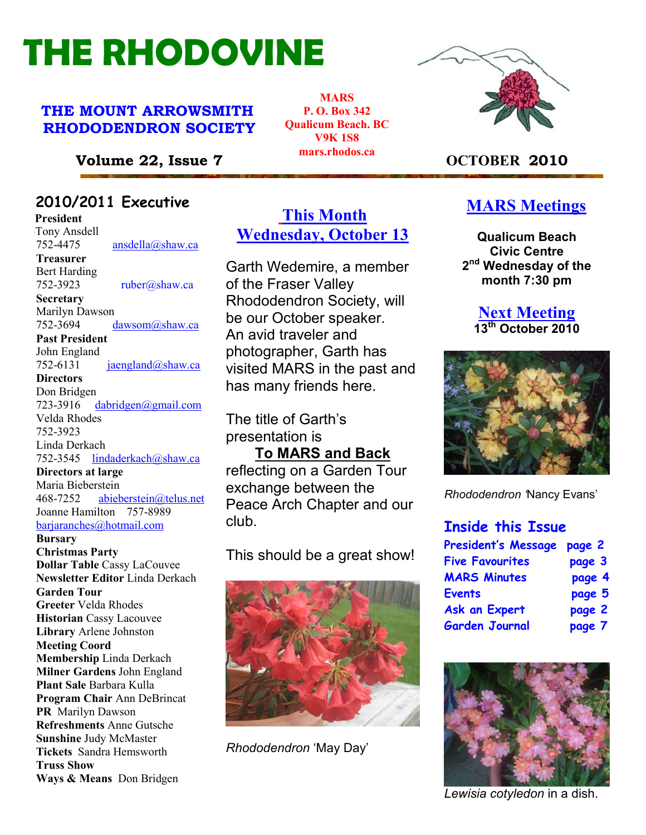# THE RHODOVINE

#### THE MOUNT ARROWSMITH RHODODENDRON SOCIETY

**MARS** P. O. Box 342 Qualicum Beach. BC V9K 1S8 mars.rhodos.ca



#### Volume 22, Issue 7 marshous.ca CCTOBER 2010

#### 22010/2011 Executive

**President Tony Ansdell** 752-4475 ansdella@shaw.ca Treasurer Bert Harding 752-3923 ruber@shaw.ca **Secretary** Marilyn Dawson<br>752-3694 dawsom@shaw.ca Past President John England<br>752-6131  $jaengland@shaw.ca$ **Directors** Don Bridgen 723-3916 dabridgen@gmail.com Velda Rhodes 752-3923 Linda Derkach 752-3545 lindaderkach@shaw.ca Directors at large Maria Bieberstein

468-7252 abieberstein@telus.net Joanne Hamilton 757-8989 barjaranches@hotmail.com

**Bursary** Christmas Party Dollar Table Cassy LaCouvee Newsletter Editor Linda Derkach Garden Tour Greeter Velda Rhodes Historian Cassy Lacouvee Library Arlene Johnston Meeting Coord Membership Linda Derkach Milner Gardens John England Plant Sale Barbara Kulla Program Chair Ann DeBrincat Refreshments Anne Gutsche Sunshine Judy McMaster Tickets Sandra Hemsworth Truss Show Ways & Means Don Bridgen

### This Month Wednesday, October 13

Garth Wedemire, a member of the Fraser Valley Rhododendron Society, will be our October speaker. An avid traveler and photographer, Garth has visited MARS in the past and has many friends here.

The title of Garth's presentation is

To MARS and Back reflecting on a Garden Tour exchange between the Peace Arch Chapter and our club.

This should be a great show!



Rhododendron 'May Day'

#### **MARS Meetings**

Qualicum Beach Civic Centre 2<sup>nd</sup> Wednesday of the month 7:30 pm

#### **Next Meeting** 13<sup>th</sup> October 2010



Rhododendron 'Nancy Evans'

#### Inside this Issue

| President's Message    | page 2 |
|------------------------|--------|
| <b>Five Favourites</b> | page 3 |
| <b>MARS Minutes</b>    | page 4 |
| Events                 | page 5 |
| <b>Ask an Expert</b>   | page 2 |
| Garden Journal         | page 7 |



Lewisia cotyledon in a dish.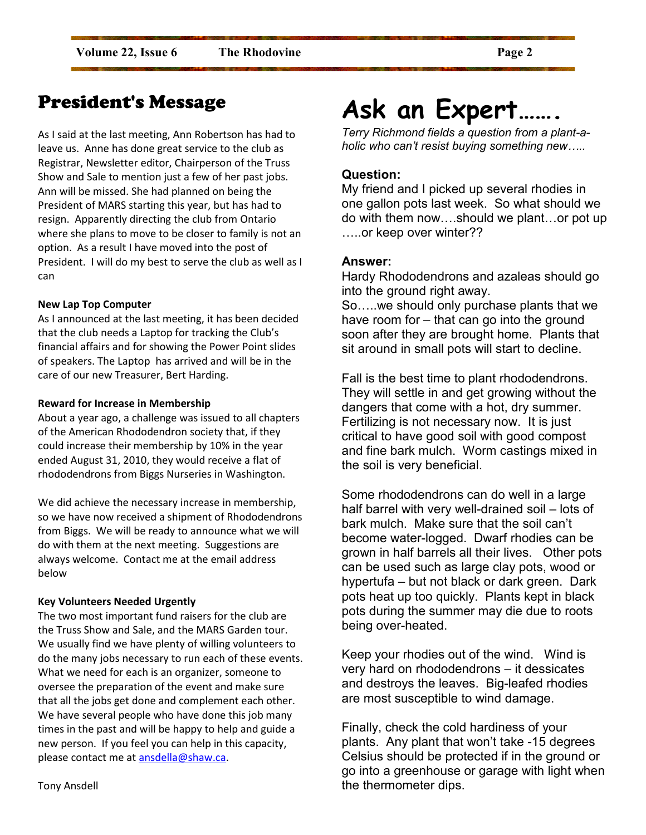### President's Message

As I said at the last meeting, Ann Robertson has had to leave us. Anne has done great service to the club as Registrar, Newsletter editor, Chairperson of the Truss Show and Sale to mention just a few of her past jobs. Ann will be missed. She had planned on being the President of MARS starting this year, but has had to resign. Apparently directing the club from Ontario where she plans to move to be closer to family is not an option. As a result I have moved into the post of President. I will do my best to serve the club as well as I can

#### New Lap Top Computer

As I announced at the last meeting, it has been decided that the club needs a Laptop for tracking the Club's financial affairs and for showing the Power Point slides of speakers. The Laptop has arrived and will be in the care of our new Treasurer, Bert Harding.

#### Reward for Increase in Membership

About a year ago, a challenge was issued to all chapters of the American Rhododendron society that, if they could increase their membership by 10% in the year ended August 31, 2010, they would receive a flat of rhododendrons from Biggs Nurseries in Washington.

We did achieve the necessary increase in membership, so we have now received a shipment of Rhododendrons from Biggs. We will be ready to announce what we will do with them at the next meeting. Suggestions are always welcome. Contact me at the email address below

#### Key Volunteers Needed Urgently

The two most important fund raisers for the club are the Truss Show and Sale, and the MARS Garden tour. We usually find we have plenty of willing volunteers to do the many jobs necessary to run each of these events. What we need for each is an organizer, someone to oversee the preparation of the event and make sure that all the jobs get done and complement each other. We have several people who have done this job many times in the past and will be happy to help and guide a new person. If you feel you can help in this capacity, please contact me at ansdella@shaw.ca.

Ask an Expert…….

Terry Richmond fields a question from a plant-aholic who can't resist buying something new…..

#### Question:

My friend and I picked up several rhodies in one gallon pots last week. So what should we do with them now….should we plant…or pot up …..or keep over winter??

#### Answer:

Hardy Rhododendrons and azaleas should go into the ground right away. So…..we should only purchase plants that we have room for – that can go into the ground soon after they are brought home. Plants that sit around in small pots will start to decline.

Fall is the best time to plant rhododendrons. They will settle in and get growing without the dangers that come with a hot, dry summer. Fertilizing is not necessary now. It is just critical to have good soil with good compost and fine bark mulch. Worm castings mixed in the soil is very beneficial.

Some rhododendrons can do well in a large half barrel with very well-drained soil – lots of bark mulch. Make sure that the soil can't become water-logged. Dwarf rhodies can be grown in half barrels all their lives. Other pots can be used such as large clay pots, wood or hypertufa – but not black or dark green. Dark pots heat up too quickly. Plants kept in black pots during the summer may die due to roots being over-heated.

Keep your rhodies out of the wind. Wind is very hard on rhododendrons – it dessicates and destroys the leaves. Big-leafed rhodies are most susceptible to wind damage.

Finally, check the cold hardiness of your plants. Any plant that won't take -15 degrees Celsius should be protected if in the ground or go into a greenhouse or garage with light when the thermometer dips.

Tony Ansdell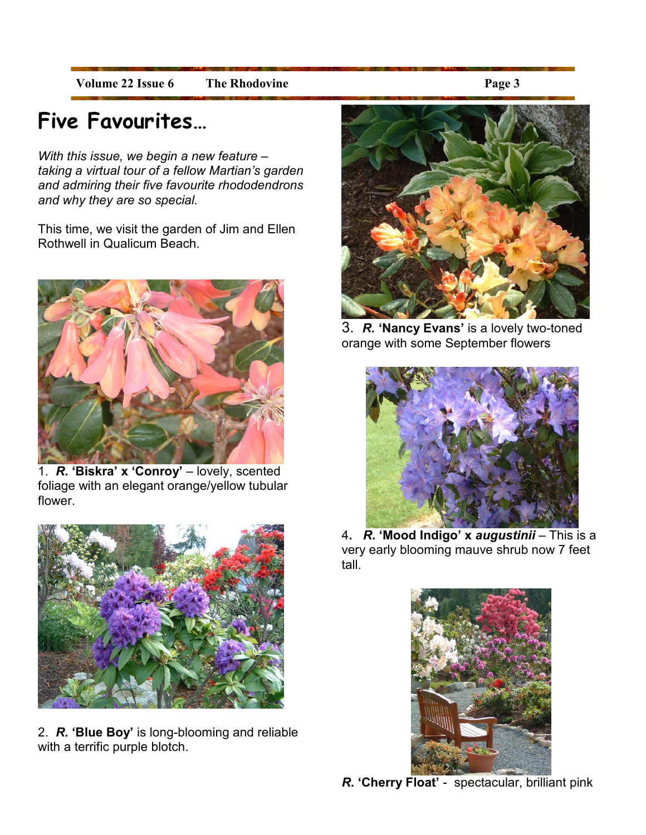Volume 22 Issue 6 The Rhodovine Page 3

## Five Favourites…

With this issue, we begin a new feature taking a virtual tour of a fellow Martian's garden and admiring their five favourite rhododendrons and why they are so special.

This time, we visit the garden of Jim and Ellen Rothwell in Qualicum Beach.



1. R. 'Biskra' x 'Conroy' – lovely, scented foliage with an elegant orange/yellow tubular flower.



2. R. 'Blue Boy' is long-blooming and reliable with a terrific purple blotch.



3. R. 'Nancy Evans' is a lovely two-toned orange with some September flowers



4. *R*. '**Mood Indigo' x** *augustinii* **–** This is a very early blooming mauve shrub now 7 feet tall.



 $\overline{a}$ R. 'Cherry Float' - spectacular, brilliant pink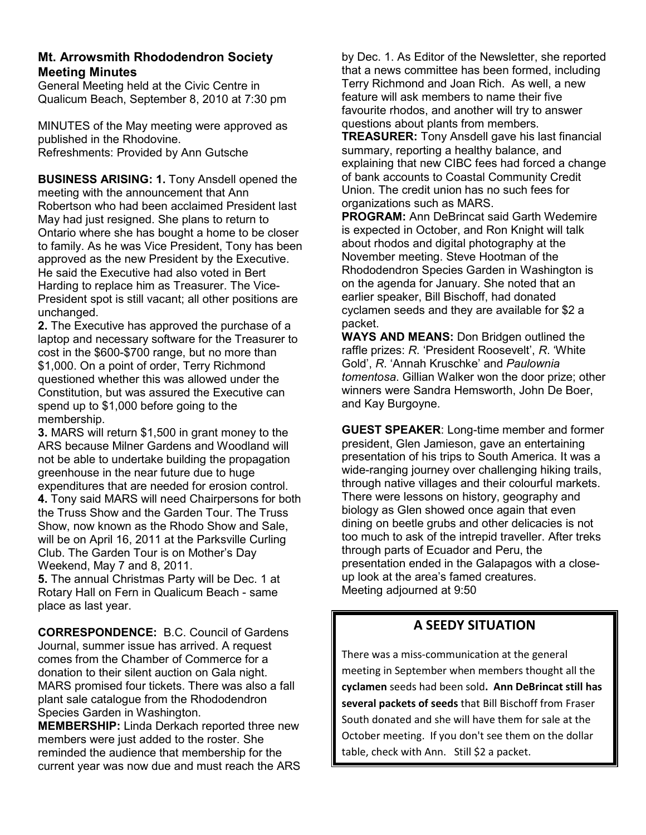#### Mt. Arrowsmith Rhododendron Society Meeting Minutes

General Meeting held at the Civic Centre in Qualicum Beach, September 8, 2010 at 7:30 pm

MINUTES of the May meeting were approved as published in the Rhodovine. Refreshments: Provided by Ann Gutsche

BUSINESS ARISING: 1. Tony Ansdell opened the meeting with the announcement that Ann Robertson who had been acclaimed President last May had just resigned. She plans to return to Ontario where she has bought a home to be closer to family. As he was Vice President, Tony has been approved as the new President by the Executive. He said the Executive had also voted in Bert Harding to replace him as Treasurer. The Vice-President spot is still vacant; all other positions are unchanged.

2. The Executive has approved the purchase of a laptop and necessary software for the Treasurer to cost in the \$600-\$700 range, but no more than \$1,000. On a point of order, Terry Richmond questioned whether this was allowed under the Constitution, but was assured the Executive can spend up to \$1,000 before going to the membership.

3. MARS will return \$1,500 in grant money to the ARS because Milner Gardens and Woodland will not be able to undertake building the propagation greenhouse in the near future due to huge expenditures that are needed for erosion control. 4. Tony said MARS will need Chairpersons for both the Truss Show and the Garden Tour. The Truss Show, now known as the Rhodo Show and Sale, will be on April 16, 2011 at the Parksville Curling Club. The Garden Tour is on Mother's Day Weekend, May 7 and 8, 2011.

5. The annual Christmas Party will be Dec. 1 at Rotary Hall on Fern in Qualicum Beach - same place as last year.

CORRESPONDENCE: B.C. Council of Gardens Journal, summer issue has arrived. A request comes from the Chamber of Commerce for a donation to their silent auction on Gala night. MARS promised four tickets. There was also a fall plant sale catalogue from the Rhododendron Species Garden in Washington.

MEMBERSHIP: Linda Derkach reported three new members were just added to the roster. She reminded the audience that membership for the current year was now due and must reach the ARS

by Dec. 1. As Editor of the Newsletter, she reported that a news committee has been formed, including Terry Richmond and Joan Rich. As well, a new feature will ask members to name their five favourite rhodos, and another will try to answer questions about plants from members.

TREASURER: Tony Ansdell gave his last financial summary, reporting a healthy balance, and explaining that new CIBC fees had forced a change of bank accounts to Coastal Community Credit Union. The credit union has no such fees for organizations such as MARS.

PROGRAM: Ann DeBrincat said Garth Wedemire is expected in October, and Ron Knight will talk about rhodos and digital photography at the November meeting. Steve Hootman of the Rhododendron Species Garden in Washington is on the agenda for January. She noted that an earlier speaker, Bill Bischoff, had donated cyclamen seeds and they are available for \$2 a packet.

WAYS AND MEANS: Don Bridgen outlined the raffle prizes: R. 'President Roosevelt', R. 'White Gold', R. 'Annah Kruschke' and Paulownia tomentosa. Gillian Walker won the door prize; other winners were Sandra Hemsworth, John De Boer, and Kay Burgoyne.

GUEST SPEAKER: Long-time member and former president, Glen Jamieson, gave an entertaining presentation of his trips to South America. It was a wide-ranging journey over challenging hiking trails, through native villages and their colourful markets. There were lessons on history, geography and biology as Glen showed once again that even dining on beetle grubs and other delicacies is not too much to ask of the intrepid traveller. After treks through parts of Ecuador and Peru, the presentation ended in the Galapagos with a closeup look at the area's famed creatures. Meeting adjourned at 9:50

#### A SEEDY SITUATION

There was a miss-communication at the general meeting in September when members thought all the cyclamen seeds had been sold. Ann DeBrincat still has several packets of seeds that Bill Bischoff from Fraser South donated and she will have them for sale at the October meeting. If you don't see them on the dollar table, check with Ann. Still \$2 a packet.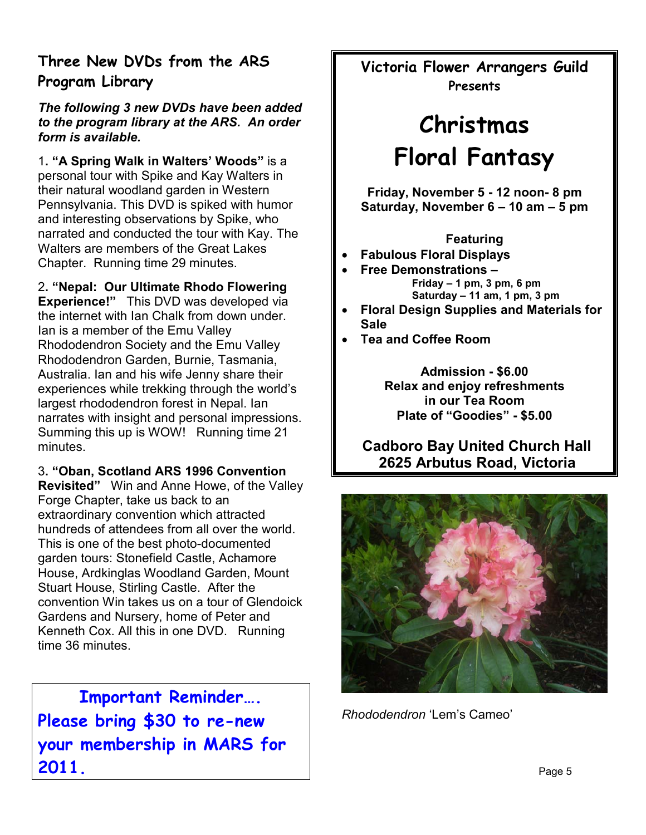#### Three New DVDs from the ARS Program Library

#### The following 3 new DVDs have been added to the program library at the ARS. An order form is available.

1. "A Spring Walk in Walters' Woods" is a personal tour with Spike and Kay Walters in their natural woodland garden in Western Pennsylvania. This DVD is spiked with humor and interesting observations by Spike, who narrated and conducted the tour with Kay. The Walters are members of the Great Lakes Chapter. Running time 29 minutes.

#### 2. "Nepal: Our Ultimate Rhodo Flowering

Experience!" This DVD was developed via the internet with Ian Chalk from down under. Ian is a member of the Emu Valley Rhododendron Society and the Emu Valley Rhododendron Garden, Burnie, Tasmania, Australia. Ian and his wife Jenny share their experiences while trekking through the world's largest rhododendron forest in Nepal. Ian narrates with insight and personal impressions. Summing this up is WOW! Running time 21 minutes.

#### 3. "Oban, Scotland ARS 1996 Convention

Revisited" Win and Anne Howe, of the Valley Forge Chapter, take us back to an extraordinary convention which attracted hundreds of attendees from all over the world. This is one of the best photo-documented garden tours: Stonefield Castle, Achamore House, Ardkinglas Woodland Garden, Mount Stuart House, Stirling Castle. After the convention Win takes us on a tour of Glendoick Gardens and Nursery, home of Peter and Kenneth Cox. All this in one DVD. Running time 36 minutes.

Important Reminder…. Please bring \$30 to re-new your membership in MARS for 2011.

Victoria Flower Arrangers Guild Presents

## Christmas Floral Fantasy

Friday, November 5 - 12 noon- 8 pm Saturday, November 6 – 10 am – 5 pm

#### Featuring

- Fabulous Floral Displays
	- Free Demonstrations Friday  $-1$  pm, 3 pm, 6 pm Saturday – 11 am, 1 pm, 3 pm
- Floral Design Supplies and Materials for **Sale**
- Tea and Coffee Room

Admission - \$6.00 Relax and enjoy refreshments in our Tea Room Plate of "Goodies" - \$5.00

 Cadboro Bay United Church Hall 2625 Arbutus Road, Victoria



Rhododendron 'Lem's Cameo'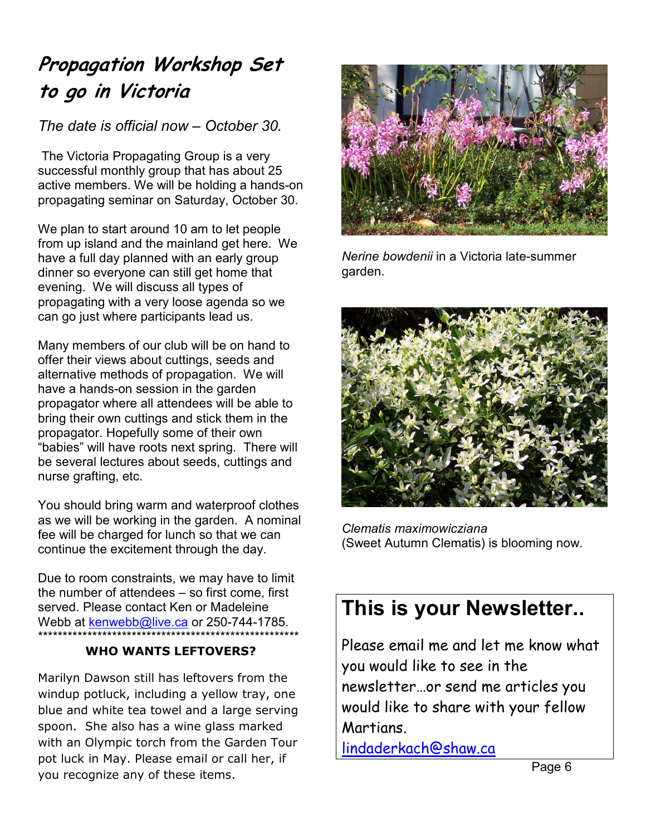### Propagation Workshop Set to go in Victoria

#### The date is official now – October 30.

 The Victoria Propagating Group is a very successful monthly group that has about 25 active members. We will be holding a hands-on propagating seminar on Saturday, October 30.

We plan to start around 10 am to let people from up island and the mainland get here. We have a full day planned with an early group dinner so everyone can still get home that evening. We will discuss all types of propagating with a very loose agenda so we can go just where participants lead us.

Many members of our club will be on hand to offer their views about cuttings, seeds and alternative methods of propagation. We will have a hands-on session in the garden propagator where all attendees will be able to bring their own cuttings and stick them in the propagator. Hopefully some of their own "babies" will have roots next spring. There will be several lectures about seeds, cuttings and nurse grafting, etc.

You should bring warm and waterproof clothes as we will be working in the garden. A nominal fee will be charged for lunch so that we can continue the excitement through the day.

Due to room constraints, we may have to limit the number of attendees – so first come, first served. Please contact Ken or Madeleine Webb at kenwebb@live.ca or 250-744-1785. \*\*\*\*\*\*\*\*\*\*\*\*\*\*\*\*\*\*\*\*\*\*\*\*\*\*\*\*\*\*\*\*\*\*\*\*\*\*\*\*\*\*\*\*\*\*\*\*\*\*\*\*\*

#### WHO WANTS LEFTOVERS?

Marilyn Dawson still has leftovers from the windup potluck, including a yellow tray, one blue and white tea towel and a large serving spoon. She also has a wine glass marked with an Olympic torch from the Garden Tour pot luck in May. Please email or call her, if you recognize any of these items.



Nerine bowdenii in a Victoria late-summer garden.



Clematis maximowicziana (Sweet Autumn Clematis) is blooming now.

### This is your Newsletter..

Please email me and let me know what you would like to see in the newsletter…or send me articles you would like to share with your fellow Martians.

lindaderkach@shaw.ca